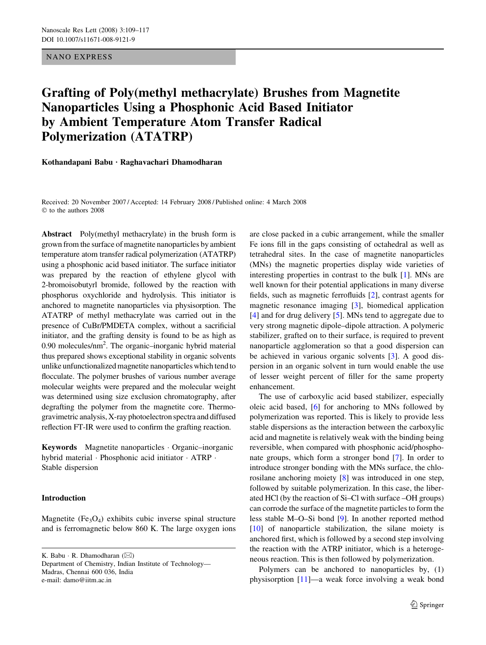## NANO EXPRESS

# Grafting of Poly(methyl methacrylate) Brushes from Magnetite Nanoparticles Using a Phosphonic Acid Based Initiator by Ambient Temperature Atom Transfer Radical Polymerization (ATATRP)

Kothandapani Babu  $\cdot$  Raghavachari Dhamodharan

Received: 20 November 2007 / Accepted: 14 February 2008 / Published online: 4 March 2008  $©$  to the authors 2008

Abstract Poly(methyl methacrylate) in the brush form is grown from the surface of magnetite nanoparticles by ambient temperature atom transfer radical polymerization (ATATRP) using a phosphonic acid based initiator. The surface initiator was prepared by the reaction of ethylene glycol with 2-bromoisobutyrl bromide, followed by the reaction with phosphorus oxychloride and hydrolysis. This initiator is anchored to magnetite nanoparticles via physisorption. The ATATRP of methyl methacrylate was carried out in the presence of CuBr/PMDETA complex, without a sacrificial initiator, and the grafting density is found to be as high as 0.90 molecules/nm<sup>2</sup>. The organic-inorganic hybrid material thus prepared shows exceptional stability in organic solvents unlike unfunctionalized magnetite nanoparticles which tend to flocculate. The polymer brushes of various number average molecular weights were prepared and the molecular weight was determined using size exclusion chromatography, after degrafting the polymer from the magnetite core. Thermogravimetric analysis, X-ray photoelectron spectra and diffused reflection FT-IR were used to confirm the grafting reaction.

Keywords Magnetite nanoparticles Organic–inorganic hybrid material · Phosphonic acid initiator · ATRP · Stable dispersion

#### Introduction

Magnetite ( $Fe<sub>3</sub>O<sub>4</sub>$ ) exhibits cubic inverse spinal structure and is ferromagnetic below 860 K. The large oxygen ions

K. Babu · R. Dhamodharan  $(\boxtimes)$ 

Department of Chemistry, Indian Institute of Technology— Madras, Chennai 600 036, India e-mail: damo@iitm.ac.in

are close packed in a cubic arrangement, while the smaller Fe ions fill in the gaps consisting of octahedral as well as tetrahedral sites. In the case of magnetite nanoparticles (MNs) the magnetic properties display wide varieties of interesting properties in contrast to the bulk [\[1](#page-7-0)]. MNs are well known for their potential applications in many diverse fields, such as magnetic ferrofluids [[2\]](#page-7-0), contrast agents for magnetic resonance imaging [\[3](#page-8-0)], biomedical application [\[4](#page-8-0)] and for drug delivery [[5\]](#page-8-0). MNs tend to aggregate due to very strong magnetic dipole–dipole attraction. A polymeric stabilizer, grafted on to their surface, is required to prevent nanoparticle agglomeration so that a good dispersion can be achieved in various organic solvents [\[3](#page-8-0)]. A good dispersion in an organic solvent in turn would enable the use of lesser weight percent of filler for the same property enhancement.

The use of carboxylic acid based stabilizer, especially oleic acid based, [\[6](#page-8-0)] for anchoring to MNs followed by polymerization was reported. This is likely to provide less stable dispersions as the interaction between the carboxylic acid and magnetite is relatively weak with the binding being reversible, when compared with phosphonic acid/phosphonate groups, which form a stronger bond [\[7](#page-8-0)]. In order to introduce stronger bonding with the MNs surface, the chlorosilane anchoring moiety [\[8](#page-8-0)] was introduced in one step, followed by suitable polymerization. In this case, the liberated HCl (by the reaction of Si–Cl with surface –OH groups) can corrode the surface of the magnetite particles to form the less stable M–O–Si bond [[9\]](#page-8-0). In another reported method [\[10](#page-8-0)] of nanoparticle stabilization, the silane moiety is anchored first, which is followed by a second step involving the reaction with the ATRP initiator, which is a heterogeneous reaction. This is then followed by polymerization.

Polymers can be anchored to nanoparticles by, (1) physisorption [[11\]](#page-8-0)—a weak force involving a weak bond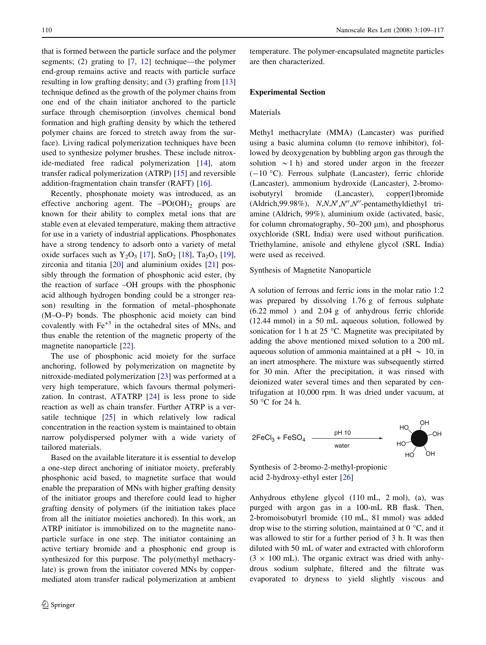that is formed between the particle surface and the polymer segments; (2) grating to [\[7](#page-8-0), [12](#page-8-0)] technique—the polymer end-group remains active and reacts with particle surface resulting in low grafting density; and (3) grafting from [[13\]](#page-8-0) technique defined as the growth of the polymer chains from one end of the chain initiator anchored to the particle surface through chemisorption (involves chemical bond formation and high grafting density by which the tethered polymer chains are forced to stretch away from the surface). Living radical polymerization techniques have been used to synthesize polymer brushes. These include nitroxide-mediated free radical polymerization [[14\]](#page-8-0), atom transfer radical polymerization (ATRP) [\[15](#page-8-0)] and reversible addition-fragmentation chain transfer (RAFT) [[16](#page-8-0)].

Recently, phosphonate moiety was introduced, as an effective anchoring agent. The  $-PO(OH)_2$  groups are known for their ability to complex metal ions that are stable even at elevated temperature, making them attractive for use in a variety of industrial applications. Phosphonates have a strong tendency to adsorb onto a variety of metal oxide surfaces such as  $Y_2O_3$  [[17\]](#page-8-0),  $SnO_2$  [\[18](#page-8-0)],  $Ta_2O_3$  [\[19](#page-8-0)], zirconia and titania [\[20](#page-8-0)] and aluminium oxides [[21\]](#page-8-0) possibly through the formation of phosphonic acid ester, (by the reaction of surface –OH groups with the phosphonic acid although hydrogen bonding could be a stronger reason) resulting in the formation of metal–phosphonate (M–O–P) bonds. The phosphonic acid moiety can bind covalently with  $Fe<sup>+3</sup>$  in the octahedral sites of MNs, and thus enable the retention of the magnetic property of the magnetite nanoparticle [\[22](#page-8-0)].

The use of phosphonic acid moiety for the surface anchoring, followed by polymerization on magnetite by nitroxide-mediated polymerization [[23\]](#page-8-0) was performed at a very high temperature, which favours thermal polymerization. In contrast, ATATRP [[24\]](#page-8-0) is less prone to side reaction as well as chain transfer. Further ATRP is a versatile technique  $[25]$  $[25]$  in which relatively low radical concentration in the reaction system is maintained to obtain narrow polydispersed polymer with a wide variety of tailored materials.

Based on the available literature it is essential to develop a one-step direct anchoring of initiator moiety, preferably phosphonic acid based, to magnetite surface that would enable the preparation of MNs with higher grafting density of the initiator groups and therefore could lead to higher grafting density of polymers (if the initiation takes place from all the initiator moieties anchored). In this work, an ATRP initiator is immobilized on to the magnetite nanoparticle surface in one step. The initiator containing an active tertiary bromide and a phosphonic end group is synthesized for this purpose. The poly(methyl methacrylate) is grown from the initiator covered MNs by coppermediated atom transfer radical polymerization at ambient

temperature. The polymer-encapsulated magnetite particles are then characterized.

## Experimental Section

## Materials

Methyl methacrylate (MMA) (Lancaster) was purified using a basic alumina column (to remove inhibitor), followed by deoxygenation by bubbling argon gas through the solution  $\sim$ 1 h) and stored under argon in the freezer  $(-10 \degree C)$ . Ferrous sulphate (Lancaster), ferric chloride (Lancaster), ammonium hydroxide (Lancaster), 2-bromoisobutyryl bromide (Lancaster), copper(I)bromide (Aldrich, 99.98%), N,N,N',N'',N''-pentamethyldiethyl triamine (Aldrich, 99%), aluminium oxide (activated, basic, for column chromatography,  $50-200 \mu m$ ), and phosphorus oxychloride (SRL India) were used without purification. Triethylamine, anisole and ethylene glycol (SRL India) were used as received.

Synthesis of Magnetite Nanoparticle

A solution of ferrous and ferric ions in the molar ratio 1:2 was prepared by dissolving 1.76 g of ferrous sulphate (6.22 mmol ) and 2.04 g of anhydrous ferric chloride (12.44 mmol) in a 50 mL aqueous solution, followed by sonication for 1 h at 25  $^{\circ}$ C. Magnetite was precipitated by adding the above mentioned mixed solution to a 200 mL aqueous solution of ammonia maintained at a pH  $\sim 10$ , in an inert atmosphere. The mixture was subsequently stirred for 30 min. After the precipitation, it was rinsed with deionized water several times and then separated by centrifugation at 10,000 rpm. It was dried under vacuum, at  $50 °C$  for 24 h.



Synthesis of 2-bromo-2-methyl-propionic acid 2-hydroxy-ethyl ester [\[26](#page-8-0)]

Anhydrous ethylene glycol (110 mL, 2 mol), (a), was purged with argon gas in a 100-mL RB flask. Then, 2-bromoisobutyrl bromide (10 mL, 81 mmol) was added drop wise to the stirring solution, maintained at  $0^{\circ}$ C, and it was allowed to stir for a further period of 3 h. It was then diluted with 50 mL of water and extracted with chloroform  $(3 \times 100 \text{ mL})$ . The organic extract was dried with anhydrous sodium sulphate, filtered and the filtrate was evaporated to dryness to yield slightly viscous and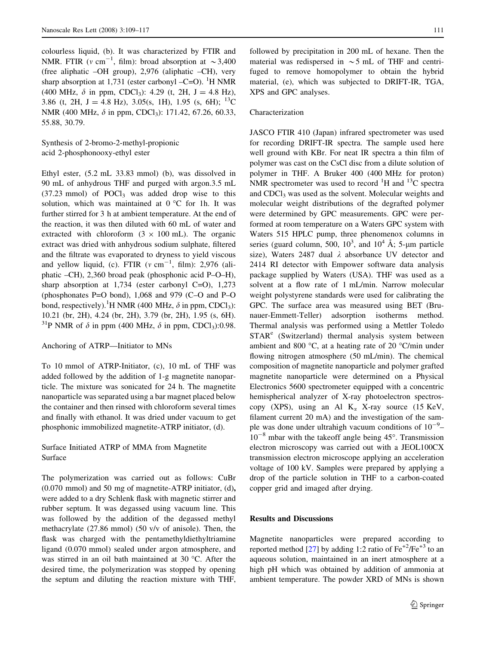colourless liquid, (b). It was characterized by FTIR and NMR. FTIR ( $v \text{ cm}^{-1}$ , film): broad absorption at  $\sim 3,400$ (free aliphatic –OH group), 2,976 (aliphatic –CH), very sharp absorption at 1,731 (ester carbonyl -C=O). <sup>1</sup>H NMR (400 MHz,  $\delta$  in ppm, CDCl<sub>3</sub>): 4.29 (t, 2H, J = 4.8 Hz), 3.86 (t, 2H, J = 4.8 Hz), 3.05(s, 1H), 1.95 (s, 6H); <sup>13</sup>C NMR (400 MHz,  $\delta$  in ppm, CDCl<sub>3</sub>): 171.42, 67.26, 60.33, 55.88, 30.79.

Synthesis of 2-bromo-2-methyl-propionic acid 2-phosphonooxy-ethyl ester

Ethyl ester, (5.2 mL 33.83 mmol) (b), was dissolved in 90 mL of anhydrous THF and purged with argon.3.5 mL  $(37.23 \text{ mmol})$  of POCl<sub>3</sub> was added drop wise to this solution, which was maintained at  $0^{\circ}$ C for 1h. It was further stirred for 3 h at ambient temperature. At the end of the reaction, it was then diluted with 60 mL of water and extracted with chloroform  $(3 \times 100 \text{ mL})$ . The organic extract was dried with anhydrous sodium sulphate, filtered and the filtrate was evaporated to dryness to yield viscous and yellow liquid, (c). FTIR ( $v \text{ cm}^{-1}$ , film): 2,976 (aliphatic –CH), 2,360 broad peak (phosphonic acid P–O–H), sharp absorption at 1,734 (ester carbonyl C=O), 1,273 (phosphonates P=O bond), 1,068 and 979 (C–O and P–O bond, respectively).<sup>1</sup>H NMR (400 MHz,  $\delta$  in ppm, CDCl<sub>3</sub>): 10.21 (br, 2H), 4.24 (br, 2H), 3.79 (br, 2H), 1.95 (s, 6H). <sup>31</sup>P NMR of  $\delta$  in ppm (400 MHz,  $\delta$  in ppm, CDCl<sub>3</sub>):0.98.

## Anchoring of ATRP—Initiator to MNs

To 10 mmol of ATRP-Initiator, (c), 10 mL of THF was added followed by the addition of 1-g magnetite nanoparticle. The mixture was sonicated for 24 h. The magnetite nanoparticle was separated using a bar magnet placed below the container and then rinsed with chloroform several times and finally with ethanol. It was dried under vacuum to get phosphonic immobilized magnetite-ATRP initiator, (d).

# Surface Initiated ATRP of MMA from Magnetite Surface

The polymerization was carried out as follows: CuBr (0.070 mmol) and 50 mg of magnetite-ATRP initiator, (d), were added to a dry Schlenk flask with magnetic stirrer and rubber septum. It was degassed using vacuum line. This was followed by the addition of the degassed methyl methacrylate (27.86 mmol) (50 v/v of anisole). Then, the flask was charged with the pentamethyldiethyltriamine ligand (0.070 mmol) sealed under argon atmosphere, and was stirred in an oil bath maintained at 30  $^{\circ}$ C. After the desired time, the polymerization was stopped by opening the septum and diluting the reaction mixture with THF,

followed by precipitation in 200 mL of hexane. Then the material was redispersed in  $\sim$  5 mL of THF and centrifuged to remove homopolymer to obtain the hybrid material, (e), which was subjected to DRIFT-IR, TGA, XPS and GPC analyses.

## Characterization

JASCO FTIR 410 (Japan) infrared spectrometer was used for recording DRIFT-IR spectra. The sample used here well ground with KBr. For neat IR spectra a thin film of polymer was cast on the CsCl disc from a dilute solution of polymer in THF. A Bruker 400 (400 MHz for proton) NMR spectrometer was used to record  ${}^{1}H$  and  ${}^{13}C$  spectra and CDCl3 was used as the solvent. Molecular weights and molecular weight distributions of the degrafted polymer were determined by GPC measurements. GPC were performed at room temperature on a Waters GPC system with Waters 515 HPLC pump, three phenomenox columns in series (guard column, 500,  $10^3$ , and  $10^4$  Å; 5- $\mu$ m particle size), Waters 2487 dual  $\lambda$  absorbance UV detector and 2414 RI detector with Empower software data analysis package supplied by Waters (USA). THF was used as a solvent at a flow rate of 1 mL/min. Narrow molecular weight polystyrene standards were used for calibrating the GPC. The surface area was measured using BET (Brunauer-Emmett-Teller) adsorption isotherms method. Thermal analysis was performed using a Mettler Toledo  $STAR<sup>e</sup>$  (Switzerland) thermal analysis system between ambient and 800  $\degree$ C, at a heating rate of 20  $\degree$ C/min under flowing nitrogen atmosphere (50 mL/min). The chemical composition of magnetite nanoparticle and polymer grafted magnetite nanoparticle were determined on a Physical Electronics 5600 spectrometer equipped with a concentric hemispherical analyzer of X-ray photoelectron spectroscopy (XPS), using an Al  $K_{\alpha}$  X-ray source (15 KeV, filament current 20 mA) and the investigation of the sample was done under ultrahigh vacuum conditions of  $10^{-9}$ - $10^{-8}$  mbar with the takeoff angle being 45°. Transmission electron microscopy was carried out with a JEOL100CX transmission electron microscope applying an acceleration voltage of 100 kV. Samples were prepared by applying a drop of the particle solution in THF to a carbon-coated copper grid and imaged after drying.

## Results and Discussions

Magnetite nanoparticles were prepared according to reported method [[27\]](#page-8-0) by adding 1:2 ratio of  $Fe^{+2}/Fe^{+3}$  to an aqueous solution, maintained in an inert atmosphere at a high pH which was obtained by addition of ammonia at ambient temperature. The powder XRD of MNs is shown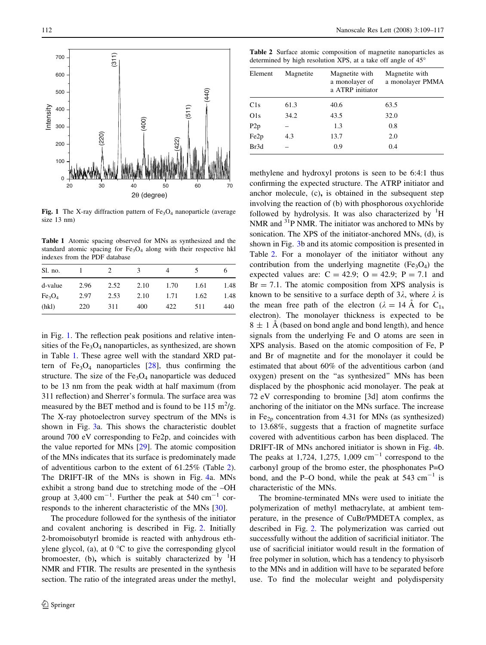<span id="page-3-0"></span>

Fig. 1 The X-ray diffraction pattern of  $Fe<sub>3</sub>O<sub>4</sub>$  nanoparticle (average size 13 nm)

Table 1 Atomic spacing observed for MNs as synthesized and the standard atomic spacing for  $Fe<sub>3</sub>O<sub>4</sub>$  along with their respective hkl indexes from the PDF database

| Sl. no.                        |      |      | 3    | 4    | ╮    |      |
|--------------------------------|------|------|------|------|------|------|
| d-value                        | 2.96 | 2.52 | 2.10 | 1.70 | 1.61 | 1.48 |
| Fe <sub>3</sub> O <sub>4</sub> | 2.97 | 2.53 | 2.10 | 1.71 | 1.62 | 1.48 |
| (hkl)                          | 220  | 311  | 400  | 422  | 511  | 440  |

in Fig. 1. The reflection peak positions and relative intensities of the  $Fe<sub>3</sub>O<sub>4</sub>$  nanoparticles, as synthesized, are shown in Table 1. These agree well with the standard XRD pattern of  $Fe<sub>3</sub>O<sub>4</sub>$  nanoparticles [[28\]](#page-8-0), thus confirming the structure. The size of the  $Fe<sub>3</sub>O<sub>4</sub>$  nanoparticle was deduced to be 13 nm from the peak width at half maximum (from 311 reflection) and Sherrer's formula. The surface area was measured by the BET method and is found to be 115  $\mathrm{m}^2/\mathrm{g}$ . The X-ray photoelectron survey spectrum of the MNs is shown in Fig. [3a](#page-5-0). This shows the characteristic doublet around 700 eV corresponding to Fe2p, and coincides with the value reported for MNs [[29\]](#page-8-0). The atomic composition of the MNs indicates that its surface is predominately made of adventitious carbon to the extent of 61.25% (Table 2). The DRIFT-IR of the MNs is shown in Fig. [4a](#page-5-0). MNs exhibit a strong band due to stretching mode of the –OH group at 3,400 cm<sup>-1</sup>. Further the peak at 540 cm<sup>-1</sup> corresponds to the inherent characteristic of the MNs [\[30](#page-8-0)].

The procedure followed for the synthesis of the initiator and covalent anchoring is described in Fig. [2](#page-4-0). Initially 2-bromoisobutyrl bromide is reacted with anhydrous ethylene glycol, (a), at  $0^{\circ}$ C to give the corresponding glycol bromoester, (b), which is suitably characterized by  ${}^{1}H$ NMR and FTIR. The results are presented in the synthesis section. The ratio of the integrated areas under the methyl,

Table 2 Surface atomic composition of magnetite nanoparticles as determined by high resolution XPS, at a take off angle of 45°

| Element          | Magnetite | Magnetite with<br>a monolayer of<br>a ATRP initiator | Magnetite with<br>a monolayer PMMA |  |
|------------------|-----------|------------------------------------------------------|------------------------------------|--|
| C1s              | 61.3      | 40.6                                                 | 63.5                               |  |
| O1s              | 34.2      | 43.5                                                 | 32.0                               |  |
| P2p              |           | 1.3                                                  | 0.8                                |  |
| Fe <sub>2p</sub> | 4.3       | 13.7                                                 | 2.0                                |  |
| Br3d             |           | 0.9                                                  | 0.4                                |  |

methylene and hydroxyl protons is seen to be 6:4:1 thus confirming the expected structure. The ATRP initiator and anchor molecule, (c), is obtained in the subsequent step involving the reaction of (b) with phosphorous oxychloride followed by hydrolysis. It was also characterized by  ${}^{1}H$ NMR and <sup>31</sup>P NMR. The initiator was anchored to MNs by sonication. The XPS of the initiator-anchored MNs, (d), is shown in Fig. [3b](#page-5-0) and its atomic composition is presented in Table 2. For a monolayer of the initiator without any contribution from the underlying magnetite  $(Fe<sub>3</sub>O<sub>4</sub>)$  the expected values are:  $C = 42.9$ ;  $O = 42.9$ ;  $P = 7.1$  and  $Br = 7.1$ . The atomic composition from XPS analysis is known to be sensitive to a surface depth of  $3\lambda$ , where  $\lambda$  is the mean free path of the electron ( $\lambda = 14$  Å for C<sub>1s</sub> electron). The monolayer thickness is expected to be  $8 \pm 1$  Å (based on bond angle and bond length), and hence signals from the underlying Fe and O atoms are seen in XPS analysis. Based on the atomic composition of Fe, P and Br of magnetite and for the monolayer it could be estimated that about 60% of the adventitious carbon (and oxygen) present on the ''as synthesized'' MNs has been displaced by the phosphonic acid monolayer. The peak at 72 eV corresponding to bromine [3d] atom confirms the anchoring of the initiator on the MNs surface. The increase in Fe<sub>2p</sub> concentration from 4.31 for MNs (as synthesized) to 13.68%, suggests that a fraction of magnetite surface covered with adventitious carbon has been displaced. The DRIFT-IR of MNs anchored initiator is shown in Fig. [4b](#page-5-0). The peaks at 1,724, 1,275, 1,009  $\text{cm}^{-1}$  correspond to the carbonyl group of the bromo ester, the phosphonates P=O bond, and the P–O bond, while the peak at  $543 \text{ cm}^{-1}$  is characteristic of the MNs.

The bromine-terminated MNs were used to initiate the polymerization of methyl methacrylate, at ambient temperature, in the presence of CuBr/PMDETA complex, as described in Fig. [2.](#page-4-0) The polymerization was carried out successfully without the addition of sacrificial initiator. The use of sacrificial initiator would result in the formation of free polymer in solution, which has a tendency to physisorb to the MNs and in addition will have to be separated before use. To find the molecular weight and polydispersity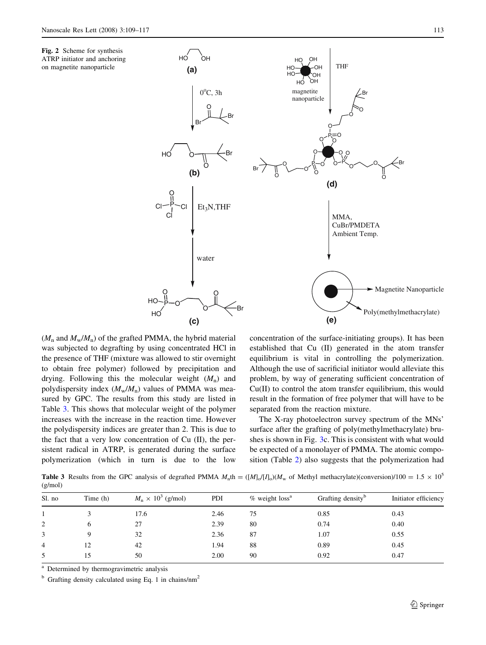HO OH

**(a)**

Br

HO O

Cl

 $\circ$   $\circ$ 

**(c)**

O

water

 $Cl - P$ Cl

P  $H<sub>C</sub>$ HO O

O

O  $0^{\circ}$ C, 3h

O

**(b)**

 $Et<sub>3</sub>N,THF$ 

Br

Br

<span id="page-4-0"></span>



Br Magnetite Nanoparticle Poly(methylmethacrylate) MMA, CuBr/PMDETA Ambient Temp. **(e)**

 $(M_n$  and  $M_w/M_n$ ) of the grafted PMMA, the hybrid material was subjected to degrafting by using concentrated HCl in the presence of THF (mixture was allowed to stir overnight to obtain free polymer) followed by precipitation and drying. Following this the molecular weight  $(M_n)$  and polydispersity index  $(M_w/M_n)$  values of PMMA was measured by GPC. The results from this study are listed in Table 3. This shows that molecular weight of the polymer increases with the increase in the reaction time. However the polydispersity indices are greater than 2. This is due to the fact that a very low concentration of Cu (II), the persistent radical in ATRP, is generated during the surface polymerization (which in turn is due to the low

concentration of the surface-initiating groups). It has been established that Cu (II) generated in the atom transfer equilibrium is vital in controlling the polymerization. Although the use of sacrificial initiator would alleviate this problem, by way of generating sufficient concentration of Cu(II) to control the atom transfer equilibrium, this would result in the formation of free polymer that will have to be separated from the reaction mixture.

The X-ray photoelectron survey spectrum of the MNs' surface after the grafting of poly(methylmethacrylate) brushes is shown in Fig. [3c](#page-5-0). This is consistent with what would be expected of a monolayer of PMMA. The atomic composition (Table [2\)](#page-3-0) also suggests that the polymerization had

**Table 3** Results from the GPC analysis of degrafted PMMA  $M_n$ th =  $([M]_0/[I_0](M_w)$  of Methyl methacrylate)(conversion)/100 = 1.5  $\times$  10<sup>5</sup> (g/mol)

| Sl. no         | Time (h)     | $M_n \times 10^3$ (g/mol) | PDI  | $%$ weight loss <sup>a</sup> | Grafting density <sup>b</sup> | Initiator efficiency |
|----------------|--------------|---------------------------|------|------------------------------|-------------------------------|----------------------|
|                |              | 17.6                      | 2.46 | 75                           | 0.85                          | 0.43                 |
| 2              | <sub>(</sub> | 27                        | 2.39 | 80                           | 0.74                          | 0.40                 |
| 3              |              | 32                        | 2.36 | 87                           | 1.07                          | 0.55                 |
| $\overline{4}$ | 12           | 42                        | 1.94 | 88                           | 0.89                          | 0.45                 |
| 5              | 15           | 50                        | 2.00 | 90                           | 0.92                          | 0.47                 |

<sup>a</sup> Determined by thermogravimetric analysis

 $b$  Grafting density calculated using Eq. 1 in chains/nm<sup>2</sup>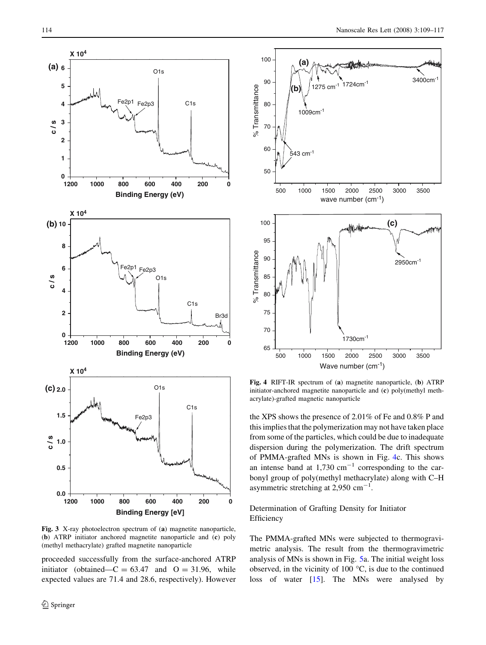<span id="page-5-0"></span>

Fig. 3 X-ray photoelectron spectrum of (a) magnetite nanoparticle, (b) ATRP initiator anchored magnetite nanoparticle and (c) poly (methyl methacrylate) grafted magnetite nanoparticle

proceeded successfully from the surface-anchored ATRP initiator (obtained— $C = 63.47$  and  $O = 31.96$ , while expected values are 71.4 and 28.6, respectively). However



Fig. 4 RIFT-IR spectrum of (a) magnetite nanoparticle, (b) ATRP initiator-anchored magnetite nanoparticle and (c) poly(methyl methacrylate)-grafted magnetic nanoparticle

the XPS shows the presence of 2.01% of Fe and 0.8% P and this implies that the polymerization may not have taken place from some of the particles, which could be due to inadequate dispersion during the polymerization. The drift spectrum of PMMA-grafted MNs is shown in Fig. 4c. This shows an intense band at  $1,730 \text{ cm}^{-1}$  corresponding to the carbonyl group of poly(methyl methacrylate) along with C–H asymmetric stretching at 2,950  $\text{cm}^{-1}$ .

Determination of Grafting Density for Initiator Efficiency

The PMMA-grafted MNs were subjected to thermogravimetric analysis. The result from the thermogravimetric analysis of MNs is shown in Fig. [5a](#page-6-0). The initial weight loss observed, in the vicinity of  $100^{\circ}$ C, is due to the continued loss of water [[15\]](#page-8-0). The MNs were analysed by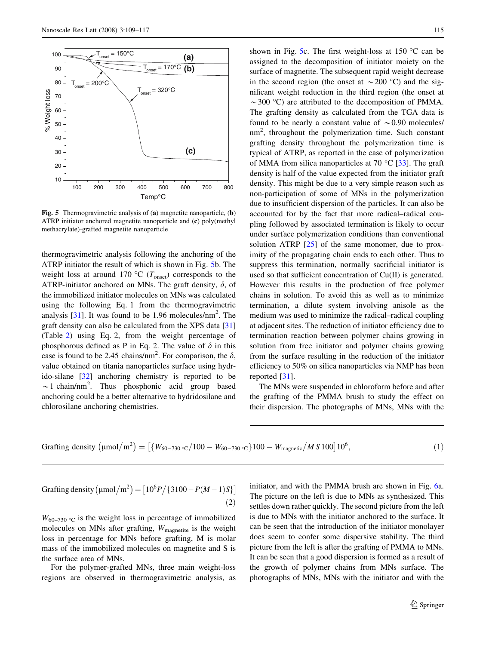<span id="page-6-0"></span>

Fig. 5 Thermogravimetric analysis of (a) magnetite nanoparticle, (b) ATRP initiator anchored magnetite nanoparticle and (c) poly(methyl methacrylate)-grafted magnetite nanoparticle

thermogravimetric analysis following the anchoring of the ATRP initiator the result of which is shown in Fig. 5b. The weight loss at around 170 °C ( $T_{\text{onset}}$ ) corresponds to the ATRP-initiator anchored on MNs. The graft density,  $\delta$ , of the immobilized initiator molecules on MNs was calculated using the following Eq. 1 from the thermogravimetric analysis  $[31]$  $[31]$ . It was found to be 1.96 molecules/nm<sup>2</sup>. The graft density can also be calculated from the XPS data [[31\]](#page-8-0) (Table [2\)](#page-3-0) using Eq. 2, from the weight percentage of phosphorous defined as P in Eq. 2. The value of  $\delta$  in this case is found to be 2.45 chains/nm<sup>2</sup>. For comparison, the  $\delta$ , value obtained on titania nanoparticles surface using hydrido-silane [\[32](#page-8-0)] anchoring chemistry is reported to be  $\sim$ 1 chain/nm<sup>2</sup>. Thus phosphonic acid group based anchoring could be a better alternative to hydridosilane and chlorosilane anchoring chemistries.

shown in Fig. 5c. The first weight-loss at 150  $\degree$ C can be assigned to the decomposition of initiator moiety on the surface of magnetite. The subsequent rapid weight decrease in the second region (the onset at  $\sim$  200 °C) and the significant weight reduction in the third region (the onset at  $\sim$  300 °C) are attributed to the decomposition of PMMA. The grafting density as calculated from the TGA data is found to be nearly a constant value of  $\sim 0.90$  molecules/ nm<sup>2</sup> , throughout the polymerization time. Such constant grafting density throughout the polymerization time is typical of ATRP, as reported in the case of polymerization of MMA from silica nanoparticles at 70  $^{\circ}$ C [\[33](#page-8-0)]. The graft density is half of the value expected from the initiator graft density. This might be due to a very simple reason such as non-participation of some of MNs in the polymerization due to insufficient dispersion of the particles. It can also be accounted for by the fact that more radical–radical coupling followed by associated termination is likely to occur under surface polymerization conditions than conventional solution ATRP [[25\]](#page-8-0) of the same monomer, due to proximity of the propagating chain ends to each other. Thus to suppress this termination, normally sacrificial initiator is used so that sufficient concentration of Cu(II) is generated. However this results in the production of free polymer chains in solution. To avoid this as well as to minimize termination, a dilute system involving anisole as the medium was used to minimize the radical–radical coupling at adjacent sites. The reduction of initiator efficiency due to termination reaction between polymer chains growing in solution from free initiator and polymer chains growing from the surface resulting in the reduction of the initiator efficiency to 50% on silica nanoparticles via NMP has been reported [\[31](#page-8-0)].

The MNs were suspended in chloroform before and after the grafting of the PMMA brush to study the effect on their dispersion. The photographs of MNs, MNs with the

Graffing density 
$$
(\mu \text{mol/m}^2)
$$
 =  $[\{W_{60-730} \cdot c/100 - W_{60-730} \cdot c\}100 - W_{magnetic}/MS100]10^6,$  (1)

Grafting density 
$$
(\mu \text{mol/m}^2) = [10^6 P / \{3100 - P(M-1)S\}]
$$
 (2)

 $W_{60-730}$  °C is the weight loss in percentage of immobilized molecules on MNs after grafting,  $W_{\text{magnetic}}$  is the weight loss in percentage for MNs before grafting, M is molar mass of the immobilized molecules on magnetite and S is the surface area of MNs.

For the polymer-grafted MNs, three main weight-loss regions are observed in thermogravimetric analysis, as initiator, and with the PMMA brush are shown in Fig. [6](#page-7-0)a. The picture on the left is due to MNs as synthesized. This settles down rather quickly. The second picture from the left is due to MNs with the initiator anchored to the surface. It can be seen that the introduction of the initiator monolayer does seem to confer some dispersive stability. The third picture from the left is after the grafting of PMMA to MNs. It can be seen that a good dispersion is formed as a result of the growth of polymer chains from MNs surface. The photographs of MNs, MNs with the initiator and with the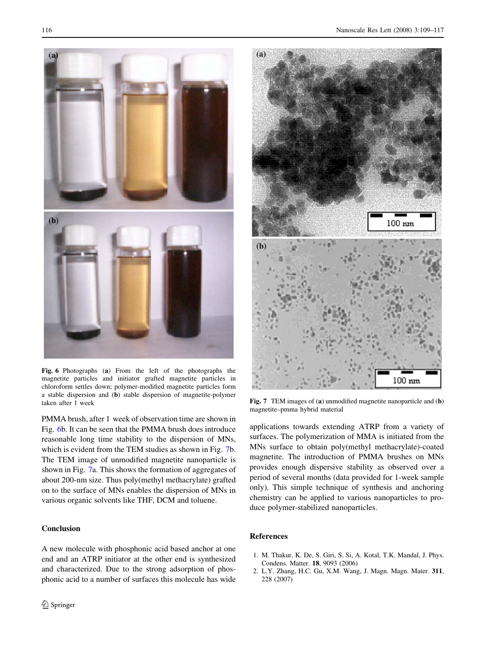<span id="page-7-0"></span>

Fig. 6 Photographs (a) From the left of the photographs the magnetite particles and initiator grafted magnetite particles in chloroform settles down; polymer-modified magnetite particles form a stable dispersion and (b) stable dispersion of magnetite-polymer taken after 1 week  $\text{Fig. 7}$  TEM images of (a) unmodified magnetite nanoparticle and (b)

PMMA brush, after 1 week of observation time are shown in Fig. 6b. It can be seen that the PMMA brush does introduce reasonable long time stability to the dispersion of MNs, which is evident from the TEM studies as shown in Fig. 7b. The TEM image of unmodified magnetite nanoparticle is shown in Fig. 7a. This shows the formation of aggregates of about 200-nm size. Thus poly(methyl methacrylate) grafted on to the surface of MNs enables the dispersion of MNs in various organic solvents like THF, DCM and toluene.

#### Conclusion

A new molecule with phosphonic acid based anchor at one end and an ATRP initiator at the other end is synthesized and characterized. Due to the strong adsorption of phosphonic acid to a number of surfaces this molecule has wide



magnetite–pmma hybrid material

applications towards extending ATRP from a variety of surfaces. The polymerization of MMA is initiated from the MNs surface to obtain poly(methyl methacrylate)-coated magnetite. The introduction of PMMA brushes on MNs provides enough dispersive stability as observed over a period of several months (data provided for 1-week sample only). This simple technique of synthesis and anchoring chemistry can be applied to various nanoparticles to produce polymer-stabilized nanoparticles.

## References

- 1. M. Thakur, K. De, S. Giri, S. Si, A. Kotal, T.K. Mandal, J. Phys. Condens. Matter. 18, 9093 (2006)
- 2. L.Y. Zhang, H.C. Gu, X.M. Wang, J. Magn. Magn. Mater. 311, 228 (2007)